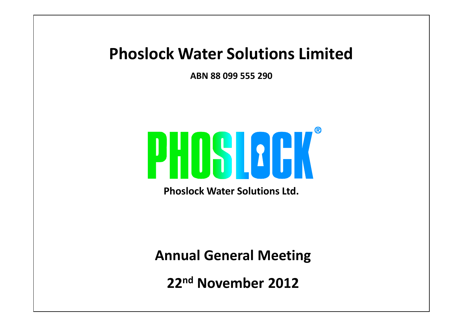#### **Phoslock Water Solutions Limited**

**ABN 88 099 555 290**



**Phoslock Water Solutions Ltd.**

**Annual General Meeting**

**22nd November 2012**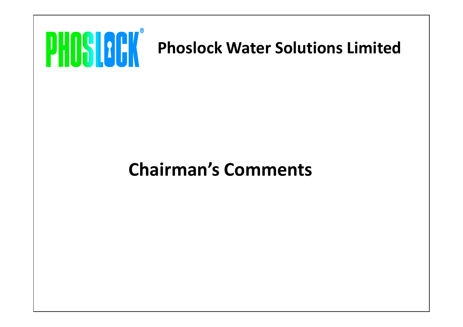

# **Chairman's Comments**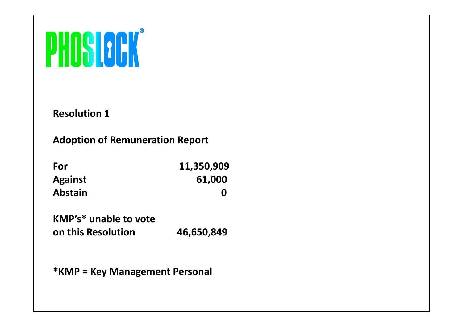# **PHOSLOCK**

**Resolution 1**

**Adoption of Remuneration Report**

| For            | 11,350,909 |  |
|----------------|------------|--|
| <b>Against</b> | 61,000     |  |
| <b>Abstain</b> |            |  |

**KMP's\* unable to vote on this Resolution 46,650,849**

**\*KMP = Key Management Personal**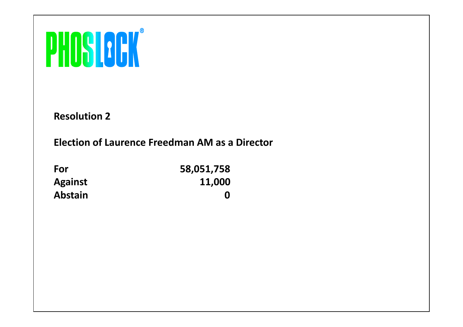# PHOSICON®

**Resolution 2**

#### **Election of Laurence Freedman AM as a Director**

| For            | 58,051,758 |
|----------------|------------|
| <b>Against</b> | 11,000     |
| <b>Abstain</b> | O          |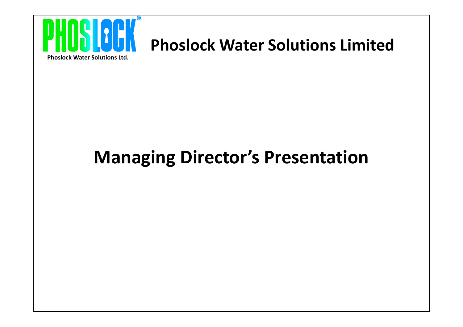

## **Phoslock Water Solutions Limited**

**Phoslock Water Solutions Ltd.**

# **Managing Director's Presentation**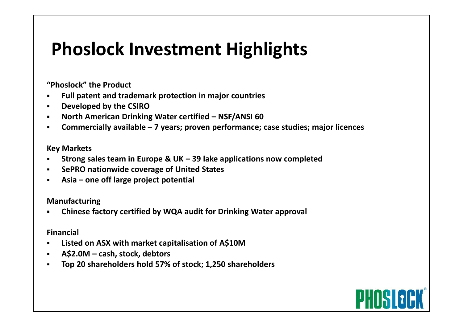# **Phoslock Investment Highlights**

**"Phoslock" the Product**

- **Full patent and trademark protection in major countries**
- **Developed by the CSIRO**
- **North American Drinking Water certified – NSF/ANSI 60**
- **Commercially available – 7 years; proven performance; case studies; major licences**

#### **Key Markets**

- **Strong sales team in Europe & UK – 39 lake applications now completed**
- **SePRO nationwide coverage of United States**
- **Asia – one off large project potential**

#### **Manufacturing**

**Chinese factory certified by WQA audit for Drinking Water approval**

#### **Financial**

- **Listed on ASX with market capitalisation of A\$10M**
- **A\$2.0M – cash, stock, debtors**
- **Top 20 shareholders hold 57% of stock; 1,250 shareholders**

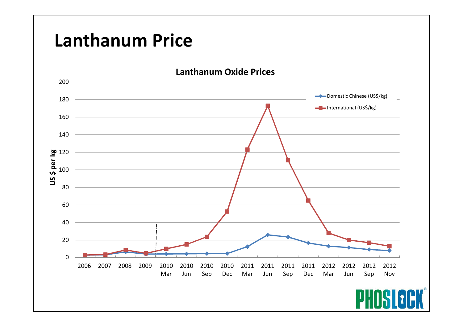# **PWS Contact Lanthanum Price**

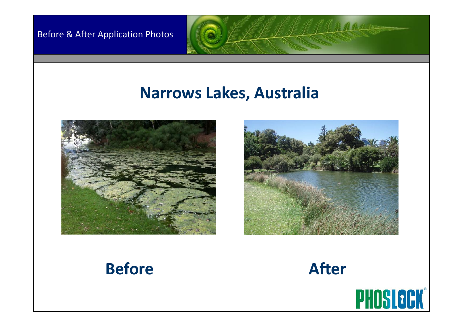Before & After Application Photos

### **Narrows Lakes, Australia**





 $\frac{1}{2}$   $\frac{d}{dx}$   $\frac{d}{dx}$   $\frac{d}{dx}$   $\frac{d}{dx}$ 

## **Before After**



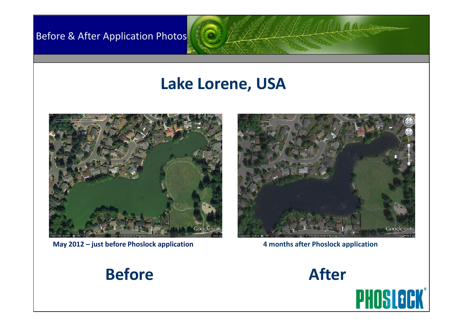**Before & After Application Photos** 

## **Lake Lorene, USA**



**May 2012 – just before Phoslock application 4 months after Phoslock application**

Google ea

 $s$   $s$   $s$   $s$   $s$ 

### **Before After**

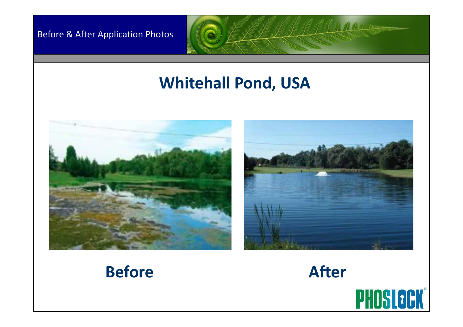#### Before & After Application Photos

## **Whitehall Pond, USA**









 $\frac{1}{2} \int_{0}^{1} \int_{0}^{1} \int_{0}^{1} \int_{0}^{1} \int_{0}^{1} \int_{0}^{1} \int_{0}^{1} \int_{0}^{1} \int_{0}^{1} \int_{0}^{1} \int_{0}^{1} \int_{0}^{1} \int_{0}^{1} \int_{0}^{1} \int_{0}^{1} \int_{0}^{1} \int_{0}^{1} \int_{0}^{1} \int_{0}^{1} \int_{0}^{1} \int_{0}^{1} \int_{0}^{1} \int_{0}^{1} \int_{0}^{1} \int_{0}^{1} \int_{0}^{1} \int_{0}$ 

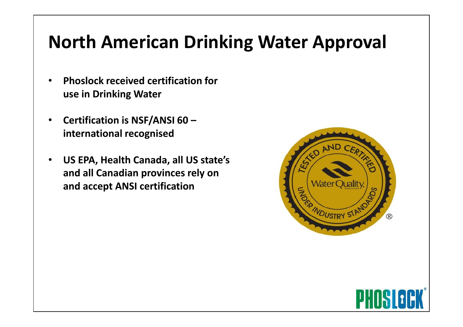# **North American Drinking Water Approval**

- **Phoslock received certification for use in Drinking Water**
- **Certification is NSF/ANSI 60 – international recognised**
- **US EPA, Health Canada, all US state's and all Canadian provinces rely on and accept ANSI certification**



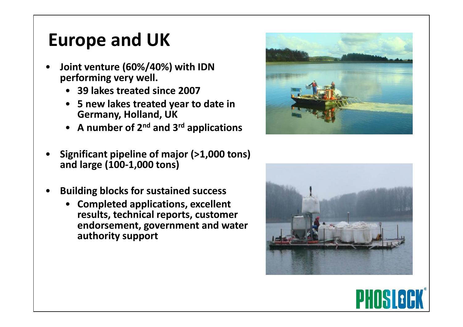# **Europe and UK**

- **Joint venture (60%/40%) with IDN performing very well.**
	- **39 lakes treated since 2007**
	- **5 new lakes treated year to date in Germany, Holland, UK**
	- **A number of 2nd and 3rd applications**
- **Significant pipeline of major (>1,000 tons) and large (100-1,000 tons)**
- **Building blocks for sustained success**
	- **Completed applications, excellent results, technical reports, customer endorsement, government and water authority support**





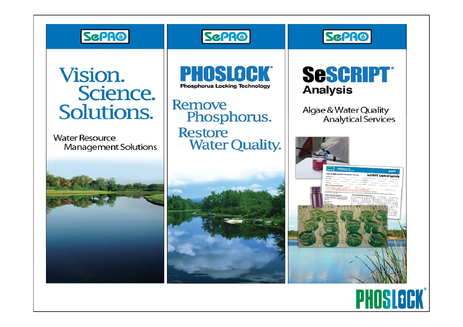

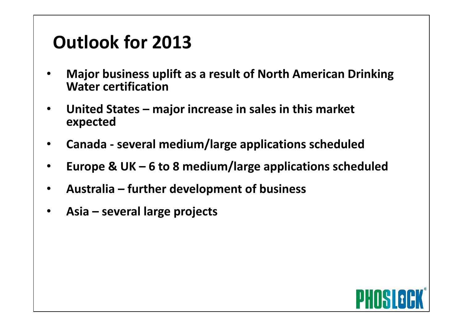# **Outlook for 2013 for 2012**

- **Major business uplift as a result of North American Drinking Water certification**
- **United States – major increase in sales in this market expected**
- **Canada - several medium/large applications scheduled**
- **Europe & UK – 6 to 8 medium/large applications scheduled**
- **Australia – further development of business**
- **Asia – several large projects**

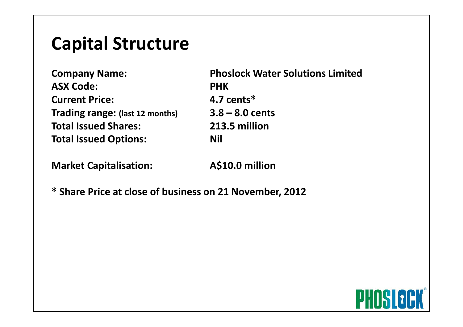# **Capital Structure Capital Structure**

**ASX Code: PHK Current Price: 4.7 cents\* Trading range: (last 12 months) 3.8 – 8.0 cents Total Issued Shares: 213.5 million Total Issued Options: Nil** 

**Company Name: Phoslock Water Solutions Limited**

**Market Capitalisation: A\$10.0 million**

**\* Share Price at close of business on 21 November, 2012**

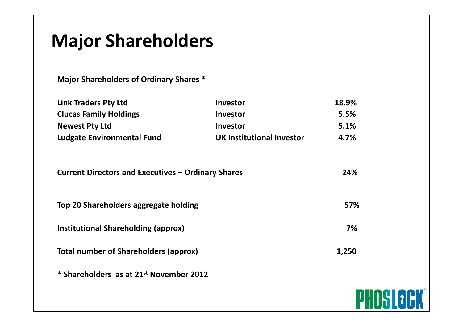# **Major Shareholders**

**Major Shareholders of Ordinary Shares \***

| <b>Link Traders Pty Ltd</b>       | Investor                         | 18.9% |
|-----------------------------------|----------------------------------|-------|
| <b>Clucas Family Holdings</b>     | <b>Investor</b>                  | 5.5%  |
| <b>Newest Pty Ltd</b>             | <b>Investor</b>                  | 5.1%  |
| <b>Ludgate Environmental Fund</b> | <b>UK Institutional Investor</b> | 4.7%  |

| <b>Current Directors and Executives - Ordinary Shares</b> | 24%   |
|-----------------------------------------------------------|-------|
| Top 20 Shareholders aggregate holding                     | 57%   |
| Institutional Shareholding (approx)                       | 7%    |
| <b>Total number of Shareholders (approx)</b>              | 1,250 |
| * Shareholders as at 21st November 2012                   |       |
|                                                           |       |

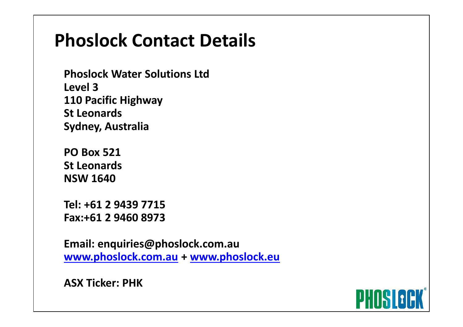# **PWS Contact Phoslock Contact Details**

**Phoslock Water Solutions Ltd Level 3 110 Pacific Highway St Leonards Sydney, Australia**

**PO Box 521 St Leonards NSW 1640**

**Tel: +61 2 9439 7715 Fax:+61 2 9460 8973**

**Email: enquiries@phoslock.com.au [www.phoslock.com.au](http://www.phoslock.com.au/) + [www.phoslock.eu](http://www.phoslock.eu/)**

**ASX Ticker: PHK**